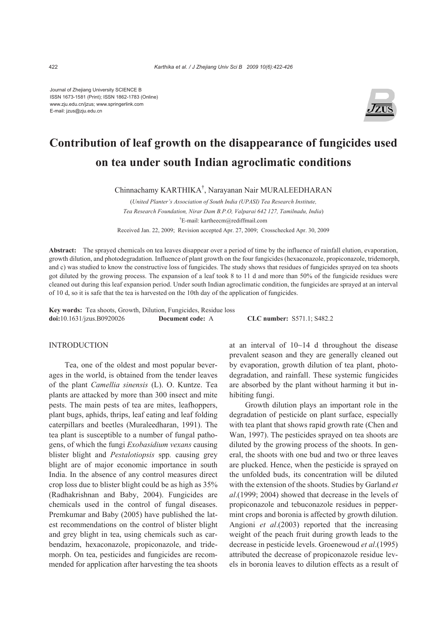Journal of Zhejiang University SCIENCE B ISSN 1673-1581 (Print); ISSN 1862-1783 (Online) www.zju.edu.cn/jzus; www.springerlink.com E-mail: jzus@zju.edu.cn



# **Contribution of leaf growth on the disappearance of fungicides used on tea under south Indian agroclimatic conditions**

Chinnachamy KARTHIKA† , Narayanan Nair MURALEEDHARAN

(*United Planter's Association of South India (UPASI) Tea Research Institute, Tea Research Foundation, Nirar Dam B.P.O, Valparai 642 127, Tamilnadu, India*) † E-mail: kartheecm@rediffmail.com Received Jan. 22, 2009; Revision accepted Apr. 27, 2009; Crosschecked Apr. 30, 2009

**Abstract:** The sprayed chemicals on tea leaves disappear over a period of time by the influence of rainfall elution, evaporation, growth dilution, and photodegradation. Influence of plant growth on the four fungicides (hexaconazole, propiconazole, tridemorph, and c) was studied to know the constructive loss of fungicides. The study shows that residues of fungicides sprayed on tea shoots got diluted by the growing process. The expansion of a leaf took 8 to 11 d and more than 50% of the fungicide residues were cleaned out during this leaf expansion period. Under south Indian agroclimatic condition, the fungicides are sprayed at an interval of 10 d, so it is safe that the tea is harvested on the 10th day of the application of fungicides.

**Key words:** Tea shoots, Growth, Dilution, Fungicides, Residue loss **doi:**10.1631/jzus.B0920026 **Document code:** A **CLC number:** S571.1; S482.2

### INTRODUCTION

Tea, one of the oldest and most popular beverages in the world, is obtained from the tender leaves of the plant *Camellia sinensis* (L). O. Kuntze. Tea plants are attacked by more than 300 insect and mite pests. The main pests of tea are mites, leafhoppers, plant bugs, aphids, thrips, leaf eating and leaf folding caterpillars and beetles (Muraleedharan, 1991). The tea plant is susceptible to a number of fungal pathogens, of which the fungi *Exobasidium vexans* causing blister blight and *Pestalotiopsis* spp*.* causing grey blight are of major economic importance in south India. In the absence of any control measures direct crop loss due to blister blight could be as high as 35% (Radhakrishnan and Baby, 2004). Fungicides are chemicals used in the control of fungal diseases. Premkumar and Baby (2005) have published the latest recommendations on the control of blister blight and grey blight in tea, using chemicals such as carbendazim, hexaconazole, propiconazole, and tridemorph. On tea, pesticides and fungicides are recommended for application after harvesting the tea shoots

at an interval of 10~14 d throughout the disease prevalent season and they are generally cleaned out by evaporation, growth dilution of tea plant, photodegradation, and rainfall. These systemic fungicides are absorbed by the plant without harming it but inhibiting fungi.

Growth dilution plays an important role in the degradation of pesticide on plant surface, especially with tea plant that shows rapid growth rate (Chen and Wan, 1997). The pesticides sprayed on tea shoots are diluted by the growing process of the shoots. In general, the shoots with one bud and two or three leaves are plucked. Hence, when the pesticide is sprayed on the unfolded buds, its concentration will be diluted with the extension of the shoots. Studies by Garland *et al*.(1999; 2004) showed that decrease in the levels of propiconazole and tebuconazole residues in peppermint crops and boronia is affected by growth dilution. Angioni *et al*.(2003) reported that the increasing weight of the peach fruit during growth leads to the decrease in pesticide levels. Groenewoud *et al*.(1995) attributed the decrease of propiconazole residue levels in boronia leaves to dilution effects as a result of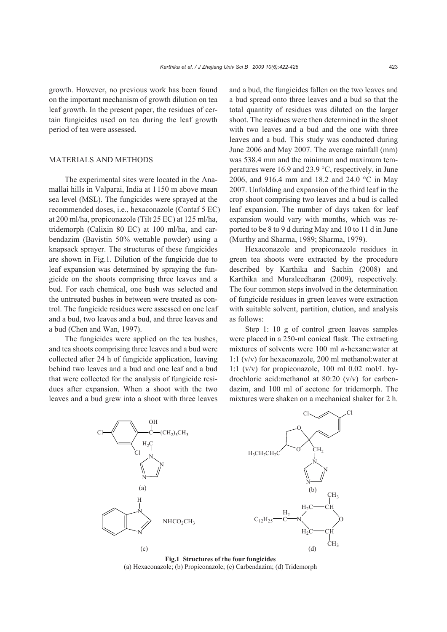growth. However, no previous work has been found on the important mechanism of growth dilution on tea leaf growth. In the present paper, the residues of certain fungicides used on tea during the leaf growth period of tea were assessed.

# MATERIALS AND METHODS

The experimental sites were located in the Anamallai hills in Valparai, India at 1150 m above mean sea level (MSL). The fungicides were sprayed at the recommended doses, i.e., hexaconazole (Contaf 5 EC) at 200 ml/ha, propiconazole (Tilt 25 EC) at 125 ml/ha, tridemorph (Calixin 80 EC) at 100 ml/ha, and carbendazim (Bavistin 50% wettable powder) using a knapsack sprayer. The structures of these fungicides are shown in Fig.1. Dilution of the fungicide due to leaf expansion was determined by spraying the fungicide on the shoots comprising three leaves and a bud. For each chemical, one bush was selected and the untreated bushes in between were treated as control. The fungicide residues were assessed on one leaf and a bud, two leaves and a bud, and three leaves and a bud (Chen and Wan, 1997).

The fungicides were applied on the tea bushes, and tea shoots comprising three leaves and a bud were collected after 24 h of fungicide application, leaving behind two leaves and a bud and one leaf and a bud that were collected for the analysis of fungicide residues after expansion. When a shoot with the two leaves and a bud grew into a shoot with three leaves

and a bud, the fungicides fallen on the two leaves and a bud spread onto three leaves and a bud so that the total quantity of residues was diluted on the larger shoot. The residues were then determined in the shoot with two leaves and a bud and the one with three leaves and a bud. This study was conducted during June 2006 and May 2007. The average rainfall (mm) was 538.4 mm and the minimum and maximum temperatures were 16.9 and 23.9 °C, respectively, in June 2006, and 916.4 mm and 18.2 and 24.0 °C in May 2007. Unfolding and expansion of the third leaf in the crop shoot comprising two leaves and a bud is called leaf expansion. The number of days taken for leaf expansion would vary with months, which was reported to be 8 to 9 d during May and 10 to 11 d in June (Murthy and Sharma, 1989; Sharma, 1979).

Hexaconazole and propiconazole residues in green tea shoots were extracted by the procedure described by Karthika and Sachin (2008) and Karthika and Muraleedharan (2009), respectively. The four common steps involved in the determination of fungicide residues in green leaves were extraction with suitable solvent, partition, elution, and analysis as follows:

Step 1: 10 g of control green leaves samples were placed in a 250-ml conical flask. The extracting mixtures of solvents were 100 ml *n*-hexane:water at 1:1 (v/v) for hexaconazole, 200 ml methanol:water at 1:1 (v/v) for propiconazole, 100 ml 0.02 mol/L hydrochloric acid:methanol at 80:20 (v/v) for carbendazim, and 100 ml of acetone for tridemorph. The mixtures were shaken on a mechanical shaker for 2 h.



**Fig.1 Structures of the four fungicides**  (a) Hexaconazole; (b) Propiconazole; (c) Carbendazim; (d) Tridemorph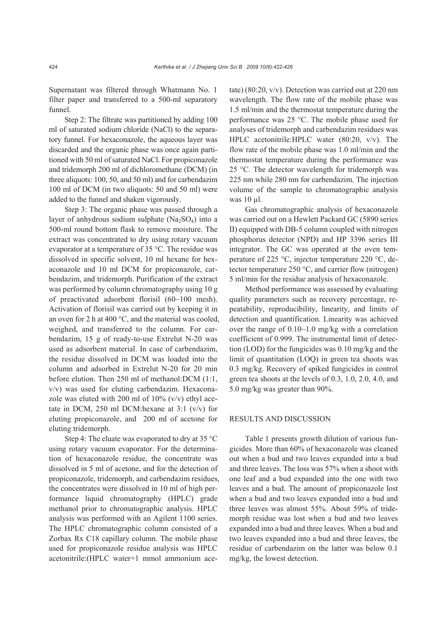Supernatant was filtered through Whatmann No. 1 filter paper and transferred to a 500-ml separatory funnel.

Step 2: The filtrate was partitioned by adding 100 ml of saturated sodium chloride (NaCl) to the separatory funnel. For hexaconazole, the aqueous layer was discarded and the organic phase was once again partitioned with 50 ml of saturated NaCl. For propiconazole and tridemorph 200 ml of dichloromethane (DCM) (in three aliquots: 100, 50, and 50 ml) and for carbendazim 100 ml of DCM (in two aliquots: 50 and 50 ml) were added to the funnel and shaken vigorously.

Step 3: The organic phase was passed through a layer of anhydrous sodium sulphate  $(Na_2SO_4)$  into a 500-ml round bottom flask to remove moisture. The extract was concentrated to dry using rotary vacuum evaporator at a temperature of 35 °C. The residue was dissolved in specific solvent, 10 ml hexane for hexaconazole and 10 ml DCM for propiconazole, carbendazim, and tridemorph. Purification of the extract was performed by column chromatography using 10 g of preactivated adsorbent florisil (60~100 mesh). Activation of florisil was carried out by keeping it in an oven for 2 h at 400 °C, and the material was cooled, weighed, and transferred to the column. For carbendazim, 15 g of ready-to-use Extrelut N-20 was used as adsorbent material. In case of carbendazim, the residue dissolved in DCM was loaded into the column and adsorbed in Extrelut N-20 for 20 min before elution. Then 250 ml of methanol:DCM (1:1, v/v) was used for eluting carbendazim. Hexaconazole was eluted with 200 ml of  $10\%$  (v/v) ethyl acetate in DCM, 250 ml DCM:hexane at 3:1 (v/v) for eluting propiconazole, and 200 ml of acetone for eluting tridemorph.

Step 4: The eluate was evaporated to dry at 35 °C using rotary vacuum evaporator. For the determination of hexaconazole residue, the concentrate was dissolved in 5 ml of acetone, and for the detection of propiconazole, tridemorph, and carbendazim residues, the concentrates were dissolved in 10 ml of high performance liquid chromatography (HPLC) grade methanol prior to chromatographic analysis. HPLC analysis was performed with an Agilent 1100 series. The HPLC chromatographic column consisted of a Zorbax Rx C18 capillary column. The mobile phase used for propiconazole residue analysis was HPLC acetonitrile:(HPLC water+1 mmol ammonium acetate) (80:20, v/v). Detection was carried out at 220 nm wavelength. The flow rate of the mobile phase was 1.5 ml/min and the thermostat temperature during the performance was 25 °C. The mobile phase used for analyses of tridemorph and carbendazim residues was HPLC acetonitrile:HPLC water (80:20, v/v). The flow rate of the mobile phase was 1.0 ml/min and the thermostat temperature during the performance was 25 °C. The detector wavelength for tridemorph was 225 nm while 280 nm for carbendazim. The injection volume of the sample to chromatographic analysis was 10 µl.

Gas chromatographic analysis of hexaconazole was carried out on a Hewlett Packard GC (5890 series II) equipped with DB-5 column coupled with nitrogen phosphorus detector (NPD) and HP 3396 series III integrator. The GC was operated at the oven temperature of 225 °C, injector temperature 220 °C, detector temperature 250 °C, and carrier flow (nitrogen) 5 ml/min for the residue analysis of hexaconazole.

Method performance was assessed by evaluating quality parameters such as recovery percentage, repeatability, reproducibility, linearity, and limits of detection and quantification. Linearity was achieved over the range of 0.10~1.0 mg/kg with a correlation coefficient of 0.999. The instrumental limit of detection (LOD) for the fungicides was 0.10 mg/kg and the limit of quantitation (LOQ) in green tea shoots was 0.3 mg/kg. Recovery of spiked fungicides in control green tea shoots at the levels of 0.3, 1.0, 2.0, 4.0, and 5.0 mg/kg was greater than 90%.

#### RESULTS AND DISCUSSION

Table 1 presents growth dilution of various fungicides. More than 60% of hexaconazole was cleaned out when a bud and two leaves expanded into a bud and three leaves. The loss was 57% when a shoot with one leaf and a bud expanded into the one with two leaves and a bud. The amount of propiconazole lost when a bud and two leaves expanded into a bud and three leaves was almost 55%. About 59% of tridemorph residue was lost when a bud and two leaves expanded into a bud and three leaves. When a bud and two leaves expanded into a bud and three leaves, the residue of carbendazim on the latter was below 0.1 mg/kg, the lowest detection.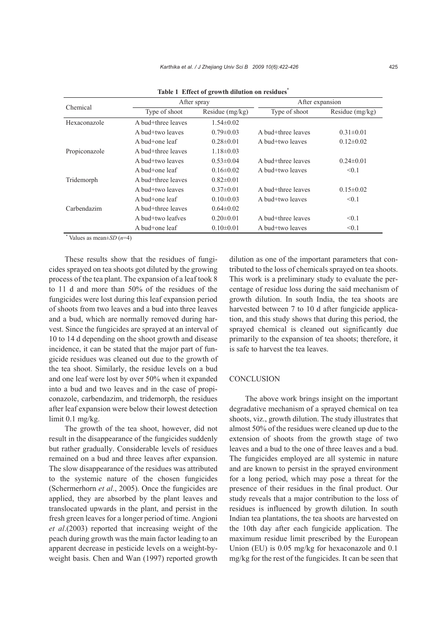| Chemical      | After spray        |                   | After expansion    |                 |
|---------------|--------------------|-------------------|--------------------|-----------------|
|               | Type of shoot      | Residue $(mg/kg)$ | Type of shoot      | Residue (mg/kg) |
| Hexaconazole  | A bud+three leaves | $1.54 \pm 0.02$   |                    |                 |
|               | A bud+two leaves   | $0.79 \pm 0.03$   | A bud+three leaves | $0.31 \pm 0.01$ |
|               | A bud+one leaf     | $0.28 \pm 0.01$   | A bud+two leaves   | $0.12\pm0.02$   |
| Propiconazole | A bud+three leaves | $1.18 \pm 0.03$   |                    |                 |
|               | A bud+two leaves   | $0.53 \pm 0.04$   | A bud+three leaves | $0.24 \pm 0.01$ |
|               | A bud+one leaf     | $0.16\pm0.02$     | A bud+two leaves   | < 0.1           |
| Tridemorph    | A bud+three leaves | $0.82\pm0.01$     |                    |                 |
|               | A bud+two leaves   | $0.37\pm0.01$     | A bud+three leaves | $0.15 \pm 0.02$ |
|               | A bud+one leaf     | $0.10 \pm 0.03$   | A bud+two leaves   | < 0.1           |
| Carbendazim   | A bud+three leaves | $0.64\pm0.02$     |                    |                 |
|               | A bud+two leafves  | $0.20 \pm 0.01$   | A bud+three leaves | < 0.1           |
|               | A bud $+$ one leaf | $0.10 \pm 0.01$   | A bud+two leaves   | < 0.1           |

**Table 1 Effect of growth dilution on residues\***

\* Values as mean±*SD* (*n*=4)

These results show that the residues of fungicides sprayed on tea shoots got diluted by the growing process of the tea plant. The expansion of a leaf took 8 to 11 d and more than 50% of the residues of the fungicides were lost during this leaf expansion period of shoots from two leaves and a bud into three leaves and a bud, which are normally removed during harvest. Since the fungicides are sprayed at an interval of 10 to 14 d depending on the shoot growth and disease incidence, it can be stated that the major part of fungicide residues was cleaned out due to the growth of the tea shoot. Similarly, the residue levels on a bud and one leaf were lost by over 50% when it expanded into a bud and two leaves and in the case of propiconazole, carbendazim, and tridemorph, the residues after leaf expansion were below their lowest detection limit 0.1 mg/kg.

The growth of the tea shoot, however, did not result in the disappearance of the fungicides suddenly but rather gradually. Considerable levels of residues remained on a bud and three leaves after expansion. The slow disappearance of the residues was attributed to the systemic nature of the chosen fungicides (Schermerhorn *et al*., 2005). Once the fungicides are applied, they are absorbed by the plant leaves and translocated upwards in the plant, and persist in the fresh green leaves for a longer period of time. Angioni *et al*.(2003) reported that increasing weight of the peach during growth was the main factor leading to an apparent decrease in pesticide levels on a weight-byweight basis. Chen and Wan (1997) reported growth dilution as one of the important parameters that contributed to the loss of chemicals sprayed on tea shoots. This work is a preliminary study to evaluate the percentage of residue loss during the said mechanism of growth dilution. In south India, the tea shoots are harvested between 7 to 10 d after fungicide application, and this study shows that during this period, the sprayed chemical is cleaned out significantly due primarily to the expansion of tea shoots; therefore, it is safe to harvest the tea leaves.

## **CONCLUSION**

The above work brings insight on the important degradative mechanism of a sprayed chemical on tea shoots, viz., growth dilution. The study illustrates that almost 50% of the residues were cleaned up due to the extension of shoots from the growth stage of two leaves and a bud to the one of three leaves and a bud. The fungicides employed are all systemic in nature and are known to persist in the sprayed environment for a long period, which may pose a threat for the presence of their residues in the final product. Our study reveals that a major contribution to the loss of residues is influenced by growth dilution. In south Indian tea plantations, the tea shoots are harvested on the 10th day after each fungicide application. The maximum residue limit prescribed by the European Union (EU) is 0.05 mg/kg for hexaconazole and 0.1 mg/kg for the rest of the fungicides. It can be seen that